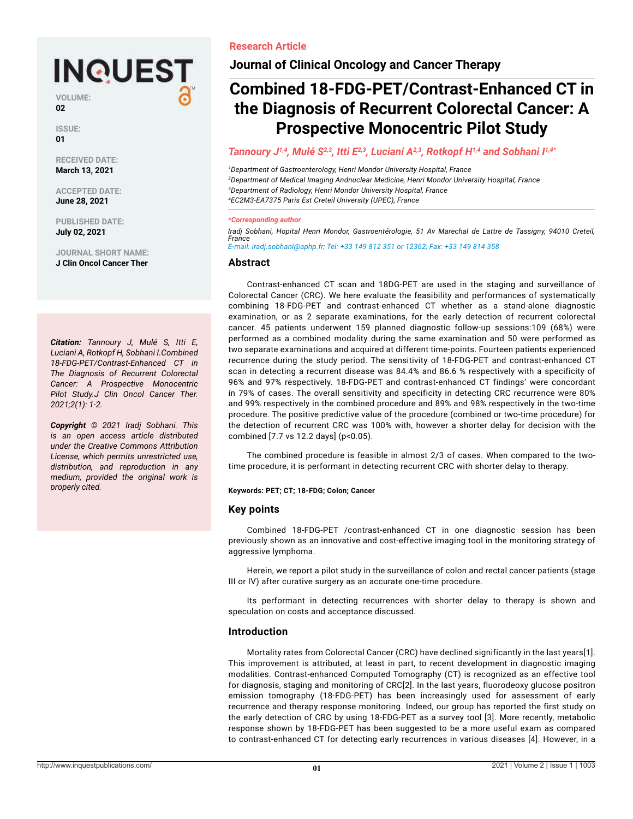# **INQUEST**

**VOLUME: 02** 

**ISSUE: 01**

**RECEIVED DATE: March 13, 2021**

**ACCEPTED DATE: June 28, 2021**

**PUBLISHED DATE: July 02, 2021**

**JOURNAL SHORT NAME: J Clin Oncol Cancer Ther**

*Citation: Tannoury J, Mulé S, Itti E, Luciani A, Rotkopf H, Sobhani I.Combined 18-FDG-PET/Contrast-Enhanced CT in The Diagnosis of Recurrent Colorectal Cancer: A Prospective Monocentric Pilot Study.J Clin Oncol Cancer Ther. 2021;2(1): 1-2.*

*Copyright © 2021 Iradj Sobhani. This is an open access article distributed under the Creative Commons Attribution License, which permits unrestricted use, distribution, and reproduction in any medium, provided the original work is properly cited.*

### **Research Article**

**Journal of Clinical Oncology and Cancer Therapy**

# **Combined 18-FDG-PET/Contrast-Enhanced CT in the Diagnosis of Recurrent Colorectal Cancer: A Prospective Monocentric Pilot Study**

## Tannoury J<sup>1,4</sup>, Mulé S<sup>2,3</sup>, Itti E<sup>2,3</sup>, Luciani A<sup>2,3</sup>, Rotkopf H<sup>1,4</sup> and Sobhani I<sup>1,4\*</sup>

 *Department of Gastroenterology, Henri Mondor University Hospital, France Department of Medical Imaging Andnuclear Medicine, Henri Mondor University Hospital, France Department of Radiology, Henri Mondor University Hospital, France EC2M3-EA7375 Paris Est Creteil University (UPEC), France*

#### *\*Corresponding author*

*Iradj Sobhani, Hopital Henri Mondor, Gastroentérologie, 51 Av Marechal de Lattre de Tassigny, 94010 Creteil, France E-mail: [iradj.sobhani@aphp.fr](mailto:iradj.sobhani%40aphp.fr?subject=); Tel: +33 149 812 351 or 12362; Fax: +33 149 814 358*

#### **Abstract**

Contrast-enhanced CT scan and 18DG-PET are used in the staging and surveillance of Colorectal Cancer (CRC). We here evaluate the feasibility and performances of systematically combining 18-FDG-PET and contrast-enhanced CT whether as a stand-alone diagnostic examination, or as 2 separate examinations, for the early detection of recurrent colorectal cancer. 45 patients underwent 159 planned diagnostic follow-up sessions:109 (68%) were performed as a combined modality during the same examination and 50 were performed as two separate examinations and acquired at different time-points. Fourteen patients experienced recurrence during the study period. The sensitivity of 18-FDG-PET and contrast-enhanced CT scan in detecting a recurrent disease was 84.4% and 86.6 % respectively with a specificity of 96% and 97% respectively. 18-FDG-PET and contrast-enhanced CT findings' were concordant in 79% of cases. The overall sensitivity and specificity in detecting CRC recurrence were 80% and 99% respectively in the combined procedure and 89% and 98% respectively in the two-time procedure. The positive predictive value of the procedure (combined or two-time procedure) for the detection of recurrent CRC was 100% with, however a shorter delay for decision with the combined [7.7 vs 12.2 days] (p<0.05).

The combined procedure is feasible in almost 2/3 of cases. When compared to the twotime procedure, it is performant in detecting recurrent CRC with shorter delay to therapy.

#### **Keywords: PET; CT; 18-FDG; Colon; Cancer**

#### **Key points**

Combined 18-FDG-PET /contrast-enhanced CT in one diagnostic session has been previously shown as an innovative and cost-effective imaging tool in the monitoring strategy of aggressive lymphoma.

Herein, we report a pilot study in the surveillance of colon and rectal cancer patients (stage III or IV) after curative surgery as an accurate one-time procedure.

Its performant in detecting recurrences with shorter delay to therapy is shown and speculation on costs and acceptance discussed.

#### **Introduction**

Mortality rates from Colorectal Cancer (CRC) have declined significantly in the last years[1]. This improvement is attributed, at least in part, to recent development in diagnostic imaging modalities. Contrast-enhanced Computed Tomography (CT) is recognized as an effective tool for diagnosis, staging and monitoring of CRC[2]. In the last years, fluorodeoxy glucose positron emission tomography (18-FDG-PET) has been increasingly used for assessment of early recurrence and therapy response monitoring. Indeed, our group has reported the first study on the early detection of CRC by using 18-FDG-PET as a survey tool [3]. More recently, metabolic response shown by 18-FDG-PET has been suggested to be a more useful exam as compared to contrast-enhanced CT for detecting early recurrences in various diseases [4]. However, in a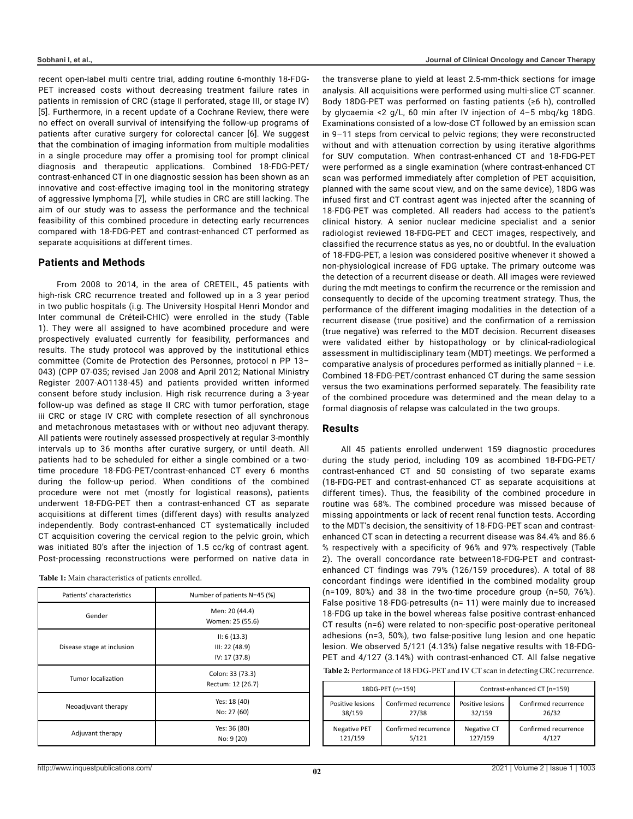**Sobhani I, et al., Journal of Clinical Oncology and Cancer Therapy**

recent open-label multi centre trial, adding routine 6-monthly 18-FDG-PET increased costs without decreasing treatment failure rates in patients in remission of CRC (stage II perforated, stage III, or stage IV) [5]. Furthermore, in a recent update of a Cochrane Review, there were no effect on overall survival of intensifying the follow-up programs of patients after curative surgery for colorectal cancer [6]. We suggest that the combination of imaging information from multiple modalities in a single procedure may offer a promising tool for prompt clinical diagnosis and therapeutic applications. Combined 18-FDG-PET/ contrast-enhanced CT in one diagnostic session has been shown as an innovative and cost-effective imaging tool in the monitoring strategy of aggressive lymphoma [7], while studies in CRC are still lacking. The aim of our study was to assess the performance and the technical feasibility of this combined procedure in detecting early recurrences compared with 18-FDG-PET and contrast-enhanced CT performed as separate acquisitions at different times.

#### **Patients and Methods**

From 2008 to 2014, in the area of CRETEIL, 45 patients with high-risk CRC recurrence treated and followed up in a 3 year period in two public hospitals (i.g. The University Hospital Henri Mondor and Inter communal de Créteil-CHIC) were enrolled in the study (Table 1). They were all assigned to have acombined procedure and were prospectively evaluated currently for feasibility, performances and results. The study protocol was approved by the institutional ethics committee (Comite de Protection des Personnes, protocol n PP 13– 043) (CPP 07-035; revised Jan 2008 and April 2012; National Ministry Register 2007-AO1138-45) and patients provided written informed consent before study inclusion. High risk recurrence during a 3-year follow-up was defined as stage II CRC with tumor perforation, stage iii CRC or stage IV CRC with complete resection of all synchronous and metachronous metastases with or without neo adjuvant therapy. All patients were routinely assessed prospectively at regular 3-monthly intervals up to 36 months after curative surgery, or until death. All patients had to be scheduled for either a single combined or a twotime procedure 18-FDG-PET/contrast-enhanced CT every 6 months during the follow-up period. When conditions of the combined procedure were not met (mostly for logistical reasons), patients underwent 18-FDG-PET then a contrast-enhanced CT as separate acquisitions at different times (different days) with results analyzed independently. Body contrast-enhanced CT systematically included CT acquisition covering the cervical region to the pelvic groin, which was initiated 80's after the injection of 1.5 cc/kg of contrast agent. Post-processing reconstructions were performed on native data in

| Table 1: Main characteristics of patients enrolled. |  |
|-----------------------------------------------------|--|
|-----------------------------------------------------|--|

| Patients' characteristics  | Number of patients N=45 (%)                   |
|----------------------------|-----------------------------------------------|
| Gender                     | Men: 20 (44.4)<br>Women: 25 (55.6)            |
| Disease stage at inclusion | II: 6(13.3)<br>III: 22(48.9)<br>IV: 17 (37.8) |
| Tumor localization         | Colon: 33 (73.3)<br>Rectum: 12 (26.7)         |
| Neoadjuvant therapy        | Yes: 18 (40)<br>No: 27 (60)                   |
| Adjuvant therapy           | Yes: 36 (80)<br>No: 9 (20)                    |

the transverse plane to yield at least 2.5-mm-thick sections for image analysis. All acquisitions were performed using multi-slice CT scanner. Body 18DG-PET was performed on fasting patients (≥6 h), controlled by glycaemia <2 g/L, 60 min after IV injection of 4–5 mbq/kg 18DG. Examinations consisted of a low-dose CT followed by an emission scan in 9–11 steps from cervical to pelvic regions; they were reconstructed without and with attenuation correction by using iterative algorithms for SUV computation. When contrast-enhanced CT and 18-FDG-PET were performed as a single examination (where contrast-enhanced CT scan was performed immediately after completion of PET acquisition, planned with the same scout view, and on the same device), 18DG was infused first and CT contrast agent was injected after the scanning of 18-FDG-PET was completed. All readers had access to the patient's clinical history. A senior nuclear medicine specialist and a senior radiologist reviewed 18-FDG-PET and CECT images, respectively, and classified the recurrence status as yes, no or doubtful. In the evaluation of 18-FDG-PET, a lesion was considered positive whenever it showed a non-physiological increase of FDG uptake. The primary outcome was the detection of a recurrent disease or death. All images were reviewed during the mdt meetings to confirm the recurrence or the remission and consequently to decide of the upcoming treatment strategy. Thus, the performance of the different imaging modalities in the detection of a recurrent disease (true positive) and the confirmation of a remission (true negative) was referred to the MDT decision. Recurrent diseases were validated either by histopathology or by clinical-radiological assessment in multidisciplinary team (MDT) meetings. We performed a comparative analysis of procedures performed as initially planned – i.e. Combined 18-FDG-PET/contrast enhanced CT during the same session versus the two examinations performed separately. The feasibility rate of the combined procedure was determined and the mean delay to a formal diagnosis of relapse was calculated in the two groups.

#### **Results**

All 45 patients enrolled underwent 159 diagnostic procedures during the study period, including 109 as acombined 18-FDG-PET/ contrast-enhanced CT and 50 consisting of two separate exams (18-FDG-PET and contrast-enhanced CT as separate acquisitions at different times). Thus, the feasibility of the combined procedure in routine was 68%. The combined procedure was missed because of missing appointments or lack of recent renal function tests. According to the MDT's decision, the sensitivity of 18-FDG-PET scan and contrastenhanced CT scan in detecting a recurrent disease was 84.4% and 86.6 % respectively with a specificity of 96% and 97% respectively (Table 2). The overall concordance rate between18-FDG-PET and contrastenhanced CT findings was 79% (126/159 procedures). A total of 88 concordant findings were identified in the combined modality group (n=109, 80%) and 38 in the two-time procedure group (n=50, 76%). False positive 18-FDG-petresults (n= 11) were mainly due to increased 18-FDG up take in the bowel whereas false positive contrast-enhanced CT results (n=6) were related to non-specific post-operative peritoneal adhesions (n=3, 50%), two false-positive lung lesion and one hepatic lesion. We observed 5/121 (4.13%) false negative results with 18-FDG-PET and 4/127 (3.14%) with contrast-enhanced CT. All false negative

| Table 2: Performance of 18 FDG-PET and IV CT scan in detecting CRC recurrence. |
|--------------------------------------------------------------------------------|
|--------------------------------------------------------------------------------|

|                     | 18DG-PET (n=159)     |                  | Contrast-enhanced CT (n=159) |
|---------------------|----------------------|------------------|------------------------------|
| Positive lesions    | Confirmed recurrence | Positive lesions | Confirmed recurrence         |
| 38/159              | 27/38                | 32/159           | 26/32                        |
| <b>Negative PET</b> | Confirmed recurrence | Negative CT      | Confirmed recurrence         |
| 121/159             | 5/121                | 127/159          | 4/127                        |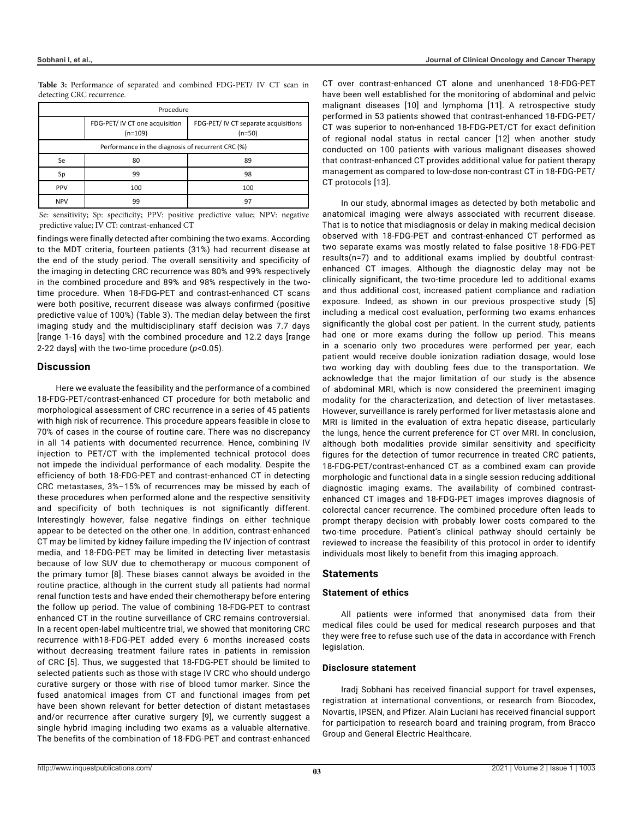**Table 3:** Performance of separated and combined FDG-PET/ IV CT scan in detecting CRC recurrence.

| Procedure                                         |                                             |                                                  |  |  |
|---------------------------------------------------|---------------------------------------------|--------------------------------------------------|--|--|
|                                                   | FDG-PET/ IV CT one acquisition<br>$(n=109)$ | FDG-PET/ IV CT separate acquisitions<br>$(n=50)$ |  |  |
| Performance in the diagnosis of recurrent CRC (%) |                                             |                                                  |  |  |
| Se                                                | 80                                          | 89                                               |  |  |
| Sp                                                | 99                                          | 98                                               |  |  |
| PPV                                               | 100                                         | 100                                              |  |  |
| <b>NPV</b>                                        | 99                                          | 97                                               |  |  |

Se: sensitivity; Sp: specificity; PPV: positive predictive value; NPV: negative predictive value; IV CT: contrast-enhanced CT

findings were finally detected after combining the two exams. According to the MDT criteria, fourteen patients (31%) had recurrent disease at the end of the study period. The overall sensitivity and specificity of the imaging in detecting CRC recurrence was 80% and 99% respectively in the combined procedure and 89% and 98% respectively in the twotime procedure. When 18-FDG-PET and contrast-enhanced CT scans were both positive, recurrent disease was always confirmed (positive predictive value of 100%) (Table 3). The median delay between the first imaging study and the multidisciplinary staff decision was 7.7 days [range 1-16 days] with the combined procedure and 12.2 days [range 2-22 days] with the two-time procedure (*p*<0.05).

#### **Discussion**

Here we evaluate the feasibility and the performance of a combined 18-FDG-PET/contrast-enhanced CT procedure for both metabolic and morphological assessment of CRC recurrence in a series of 45 patients with high risk of recurrence. This procedure appears feasible in close to 70% of cases in the course of routine care. There was no discrepancy in all 14 patients with documented recurrence. Hence, combining IV injection to PET/CT with the implemented technical protocol does not impede the individual performance of each modality. Despite the efficiency of both 18-FDG-PET and contrast-enhanced CT in detecting CRC metastases, 3%–15% of recurrences may be missed by each of these procedures when performed alone and the respective sensitivity and specificity of both techniques is not significantly different. Interestingly however, false negative findings on either technique appear to be detected on the other one. In addition, contrast-enhanced CT may be limited by kidney failure impeding the IV injection of contrast media, and 18-FDG-PET may be limited in detecting liver metastasis because of low SUV due to chemotherapy or mucous component of the primary tumor [8]. These biases cannot always be avoided in the routine practice, although in the current study all patients had normal renal function tests and have ended their chemotherapy before entering the follow up period. The value of combining 18-FDG-PET to contrast enhanced CT in the routine surveillance of CRC remains controversial. In a recent open-label multicentre trial, we showed that monitoring CRC recurrence with18-FDG-PET added every 6 months increased costs without decreasing treatment failure rates in patients in remission of CRC [5]. Thus, we suggested that 18-FDG-PET should be limited to selected patients such as those with stage IV CRC who should undergo curative surgery or those with rise of blood tumor marker. Since the fused anatomical images from CT and functional images from pet have been shown relevant for better detection of distant metastases and/or recurrence after curative surgery [9], we currently suggest a single hybrid imaging including two exams as a valuable alternative. The benefits of the combination of 18-FDG-PET and contrast-enhanced CT over contrast-enhanced CT alone and unenhanced 18-FDG-PET have been well established for the monitoring of abdominal and pelvic malignant diseases [10] and lymphoma [11]. A retrospective study performed in 53 patients showed that contrast-enhanced 18-FDG-PET/ CT was superior to non-enhanced 18-FDG-PET/CT for exact definition of regional nodal status in rectal cancer [12] when another study conducted on 100 patients with various malignant diseases showed that contrast-enhanced CT provides additional value for patient therapy management as compared to low-dose non-contrast CT in 18-FDG-PET/ CT protocols [13].

In our study, abnormal images as detected by both metabolic and anatomical imaging were always associated with recurrent disease. That is to notice that misdiagnosis or delay in making medical decision observed with 18-FDG-PET and contrast-enhanced CT performed as two separate exams was mostly related to false positive 18-FDG-PET results(n=7) and to additional exams implied by doubtful contrastenhanced CT images. Although the diagnostic delay may not be clinically significant, the two-time procedure led to additional exams and thus additional cost, increased patient compliance and radiation exposure. Indeed, as shown in our previous prospective study [5] including a medical cost evaluation, performing two exams enhances significantly the global cost per patient. In the current study, patients had one or more exams during the follow up period. This means in a scenario only two procedures were performed per year, each patient would receive double ionization radiation dosage, would lose two working day with doubling fees due to the transportation. We acknowledge that the major limitation of our study is the absence of abdominal MRI, which is now considered the preeminent imaging modality for the characterization, and detection of liver metastases. However, surveillance is rarely performed for liver metastasis alone and MRI is limited in the evaluation of extra hepatic disease, particularly the lungs, hence the current preference for CT over MRI. In conclusion, although both modalities provide similar sensitivity and specificity figures for the detection of tumor recurrence in treated CRC patients, 18-FDG-PET/contrast-enhanced CT as a combined exam can provide morphologic and functional data in a single session reducing additional diagnostic imaging exams. The availability of combined contrastenhanced CT images and 18-FDG-PET images improves diagnosis of colorectal cancer recurrence. The combined procedure often leads to prompt therapy decision with probably lower costs compared to the two-time procedure. Patient's clinical pathway should certainly be reviewed to increase the feasibility of this protocol in order to identify individuals most likely to benefit from this imaging approach.

#### **Statements**

#### **Statement of ethics**

All patients were informed that anonymised data from their medical files could be used for medical research purposes and that they were free to refuse such use of the data in accordance with French legislation.

#### **Disclosure statement**

Iradj Sobhani has received financial support for travel expenses, registration at international conventions, or research from Biocodex, Novartis, IPSEN, and Pfizer. Alain Luciani has received financial support for participation to research board and training program, from Bracco Group and General Electric Healthcare.